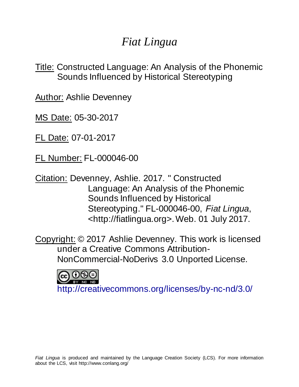# *Fiat Lingua*

Title: Constructed Language: An Analysis of the Phonemic Sounds Influenced by Historical Stereotyping

Author: Ashlie Devenney

MS Date: 05-30-2017

FL Date: 07-01-2017

FL Number: FL-000046-00

Citation: Devenney, Ashlie. 2017. " Constructed Language: An Analysis of the Phonemic Sounds Influenced by Historical Stereotyping." FL-000046-00, *Fiat Lingua*, <http://fiatlingua.org>. Web. 01 July 2017.

Copyright: © 2017 Ashlie Devenney. This work is licensed under a Creative Commons Attribution-NonCommercial-NoDerivs 3.0 Unported License.



<http://creativecommons.org/licenses/by-nc-nd/3.0/>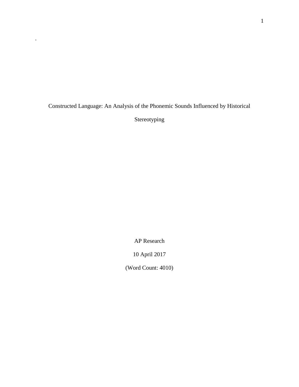Constructed Language: An Analysis of the Phonemic Sounds Influenced by Historical

.

Stereotyping

AP Research

10 April 2017

(Word Count: 4010)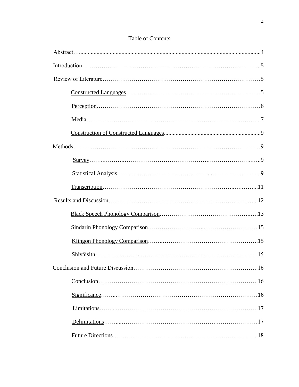## Table of Contents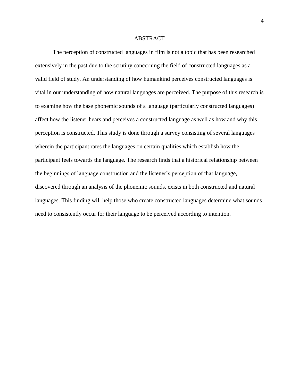#### ABSTRACT

The perception of constructed languages in film is not a topic that has been researched extensively in the past due to the scrutiny concerning the field of constructed languages as a valid field of study. An understanding of how humankind perceives constructed languages is vital in our understanding of how natural languages are perceived. The purpose of this research is to examine how the base phonemic sounds of a language (particularly constructed languages) affect how the listener hears and perceives a constructed language as well as how and why this perception is constructed. This study is done through a survey consisting of several languages wherein the participant rates the languages on certain qualities which establish how the participant feels towards the language. The research finds that a historical relationship between the beginnings of language construction and the listener's perception of that language, discovered through an analysis of the phonemic sounds, exists in both constructed and natural languages. This finding will help those who create constructed languages determine what sounds need to consistently occur for their language to be perceived according to intention.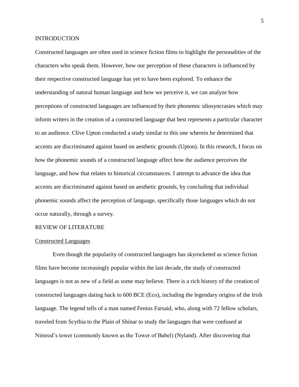#### INTRODUCTION

Constructed languages are often used in science fiction films to highlight the personalities of the characters who speak them. However, how our perception of these characters is influenced by their respective constructed language has yet to have been explored. To enhance the understanding of natural human language and how we perceive it, we can analyze how perceptions of constructed languages are influenced by their phonemic idiosyncrasies which may inform writers in the creation of a constructed language that best represents a particular character to an audience. Clive Upton conducted a study similar to this one wherein he determined that accents are discriminated against based on aesthetic grounds (Upton). In this research, I focus on how the phonemic sounds of a constructed language affect how the audience perceives the language, and how that relates to historical circumstances. I attempt to advance the idea that accents are discriminated against based on aesthetic grounds, by concluding that individual phonemic sounds affect the perception of language, specifically those languages which do not occur naturally, through a survey.

#### REVIEW OF LITERATURE

#### Constructed Languages

Even though the popularity of constructed languages has skyrocketed as science fiction films have become increasingly popular within the last decade, the study of constructed languages is not as new of a field as some may believe. There is a rich history of the creation of constructed languages dating back to 600 BCE (Eco), including the legendary origins of the Irish language. The legend tells of a man named Fenius Farsaid, who, along with 72 fellow scholars, traveled from Scythia to the Plain of Shinar to study the languages that were confused at Nimrod's tower (commonly known as the Tower of Babel) (Nyland). After discovering that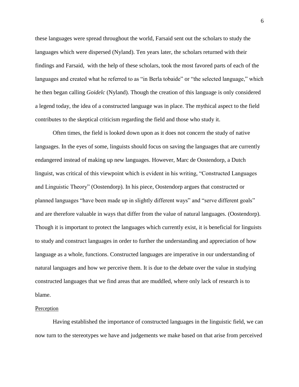these languages were spread throughout the world, Farsaid sent out the scholars to study the languages which were dispersed (Nyland). Ten years later, the scholars returned with their findings and Farsaid, with the help of these scholars, took the most favored parts of each of the languages and created what he referred to as "in Berla tobaide" or "the selected language," which he then began calling *Goidelc* (Nyland). Though the creation of this language is only considered a legend today, the idea of a constructed language was in place. The mythical aspect to the field contributes to the skeptical criticism regarding the field and those who study it.

Often times, the field is looked down upon as it does not concern the study of native languages. In the eyes of some, linguists should focus on saving the languages that are currently endangered instead of making up new languages. However, Marc de Oostendorp, a Dutch linguist, was critical of this viewpoint which is evident in his writing, "Constructed Languages and Linguistic Theory" (Oostendorp). In his piece, Oostendorp argues that constructed or planned languages "have been made up in slightly different ways" and "serve different goals" and are therefore valuable in ways that differ from the value of natural languages. (Oostendorp). Though it is important to protect the languages which currently exist, it is beneficial for linguists to study and construct languages in order to further the understanding and appreciation of how language as a whole, functions. Constructed languages are imperative in our understanding of natural languages and how we perceive them. It is due to the debate over the value in studying constructed languages that we find areas that are muddled, where only lack of research is to blame.

#### **Perception**

Having established the importance of constructed languages in the linguistic field, we can now turn to the stereotypes we have and judgements we make based on that arise from perceived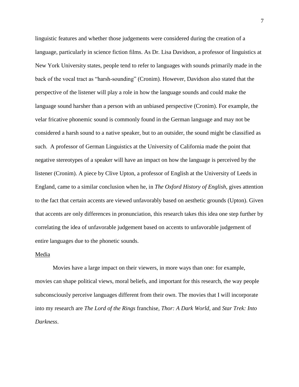linguistic features and whether those judgements were considered during the creation of a language, particularly in science fiction films. As Dr. Lisa Davidson, a professor of linguistics at New York University states, people tend to refer to languages with sounds primarily made in the back of the vocal tract as "harsh-sounding" (Cronim). However, Davidson also stated that the perspective of the listener will play a role in how the language sounds and could make the language sound harsher than a person with an unbiased perspective (Cronim). For example, the velar fricative phonemic sound is commonly found in the German language and may not be considered a harsh sound to a native speaker, but to an outsider, the sound might be classified as such. A professor of German Linguistics at the University of California made the point that negative stereotypes of a speaker will have an impact on how the language is perceived by the listener (Cronim). A piece by Clive Upton, a professor of English at the University of Leeds in England, came to a similar conclusion when he, in *The Oxford History of English,* gives attention to the fact that certain accents are viewed unfavorably based on aesthetic grounds (Upton). Given that accents are only differences in pronunciation, this research takes this idea one step further by correlating the idea of unfavorable judgement based on accents to unfavorable judgement of entire languages due to the phonetic sounds.

#### Media

Movies have a large impact on their viewers, in more ways than one: for example, movies can shape political views, moral beliefs, and important for this research, the way people subconsciously perceive languages different from their own. The movies that I will incorporate into my research are *The Lord of the Rings* franchise, *Thor: A Dark World,* and *Star Trek: Into Darkness*.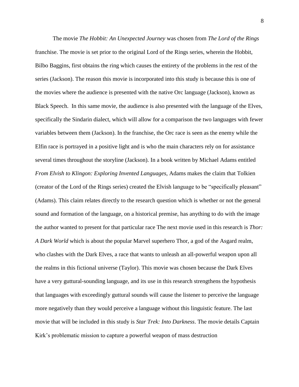The movie *The Hobbit: An Unexpected Journey* was chosen from *The Lord of the Rings* franchise. The movie is set prior to the original Lord of the Rings series, wherein the Hobbit, Bilbo Baggins, first obtains the ring which causes the entirety of the problems in the rest of the series (Jackson). The reason this movie is incorporated into this study is because this is one of the movies where the audience is presented with the native Orc language (Jackson), known as Black Speech. In this same movie, the audience is also presented with the language of the Elves, specifically the Sindarin dialect, which will allow for a comparison the two languages with fewer variables between them (Jackson). In the franchise, the Orc race is seen as the enemy while the Elfin race is portrayed in a positive light and is who the main characters rely on for assistance several times throughout the storyline (Jackson). In a book written by Michael Adams entitled *From Elvish to Klingon: Exploring Invented Languages,* Adams makes the claim that Tolkien (creator of the Lord of the Rings series) created the Elvish language to be "specifically pleasant" (Adams). This claim relates directly to the research question which is whether or not the general sound and formation of the language, on a historical premise, has anything to do with the image the author wanted to present for that particular race The next movie used in this research is *Thor: A Dark World* which is about the popular Marvel superhero Thor, a god of the Asgard realm, who clashes with the Dark Elves, a race that wants to unleash an all-powerful weapon upon all the realms in this fictional universe (Taylor). This movie was chosen because the Dark Elves have a very guttural-sounding language, and its use in this research strengthens the hypothesis that languages with exceedingly guttural sounds will cause the listener to perceive the language more negatively than they would perceive a language without this linguistic feature. The last movie that will be included in this study is *Star Trek: Into Darkness*. The movie details Captain Kirk's problematic mission to capture a powerful weapon of mass destruction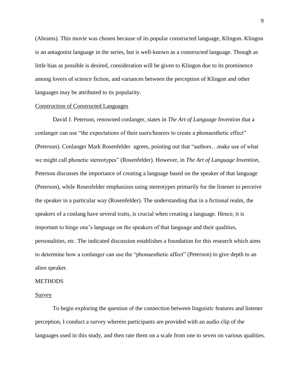(Abrams). This movie was chosen because of its popular constructed language, Klingon. Klingon is an antagonist language in the series, but is well-known as a constructed language. Though as little bias as possible is desired, consideration will be given to Klingon due to its prominence among lovers of science fiction, and variances between the perception of Klingon and other languages may be attributed to its popularity.

#### Construction of Constructed Languages

David J. Peterson, renowned conlanger, states in *The Art of Language Invention* that a conlanger can use "the expectations of their users/hearers to create a phonaesthetic effect" (Peterson). Conlanger Mark Rosenfelder agrees, pointing out that "authors…make use of what we might call phonetic stereotypes" (Rosenfelder). However, in *The Art of Language Invention,*  Peterson discusses the importance of creating a language based on the speaker of that language (Peterson), while Rosenfelder emphasizes using stereotypes primarily for the listener to perceive the speaker in a particular way (Rosenfelder). The understanding that in a fictional realm, the speakers of a conlang have several traits, is crucial when creating a language. Hence, it is important to hinge one's language on the speakers of that language and their qualities, personalities, etc. The indicated discussion establishes a foundation for this research which aims to determine how a conlanger can use the "phonaesthetic affect" (Peterson) to give depth to an alien speaker.

#### **METHODS**

#### Survey

To begin exploring the question of the connection between linguistic features and listener perception, I conduct a survey wherein participants are provided with an audio clip of the languages used in this study, and then rate them on a scale from one to seven on various qualities.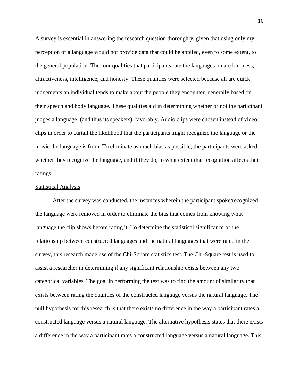A survey is essential in answering the research question thoroughly, given that using only my perception of a language would not provide data that could be applied, even to some extent, to the general population. The four qualities that participants rate the languages on are kindness, attractiveness, intelligence, and honesty. These qualities were selected because all are quick judgements an individual tends to make about the people they encounter, generally based on their speech and body language. These qualities aid in determining whether or not the participant judges a language, (and thus its speakers), favorably. Audio clips were chosen instead of video clips in order to curtail the likelihood that the participants might recognize the language or the movie the language is from. To eliminate as much bias as possible, the participants were asked whether they recognize the language, and if they do, to what extent that recognition affects their ratings.

#### Statistical Analysis

After the survey was conducted, the instances wherein the participant spoke/recognized the language were removed in order to eliminate the bias that comes from knowing what language the clip shows before rating it. To determine the statistical significance of the relationship between constructed languages and the natural languages that were rated in the survey, this research made use of the Chi-Square statistics test. The Chi-Square test is used to assist a researcher in determining if any significant relationship exists between any two categorical variables. The goal in performing the test was to find the amount of similarity that exists between rating the qualities of the constructed language versus the natural language. The null hypothesis for this research is that there exists no difference in the way a participant rates a constructed language versus a natural language. The alternative hypothesis states that there exists a difference in the way a participant rates a constructed language versus a natural language. This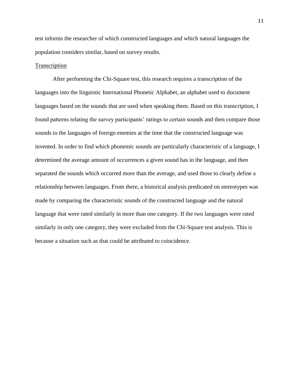test informs the researcher of which constructed languages and which natural languages the population considers similar, based on survey results.

#### Transcription

After performing the Chi-Square test, this research requires a transcription of the languages into the linguistic International Phonetic Alphabet, an alphabet used to document languages based on the sounds that are used when speaking them. Based on this transcription, I found patterns relating the survey participants' ratings to certain sounds and then compare those sounds to the languages of foreign enemies at the time that the constructed language was invented. In order to find which phonemic sounds are particularly characteristic of a language, I determined the average amount of occurrences a given sound has in the language, and then separated the sounds which occurred more than the average, and used those to clearly define a relationship between languages. From there, a historical analysis predicated on stereotypes was made by comparing the characteristic sounds of the constructed language and the natural language that were rated similarly in more than one category. If the two languages were rated similarly in only one category, they were excluded from the Chi-Square test analysis. This is because a situation such as that could be attributed to coincidence.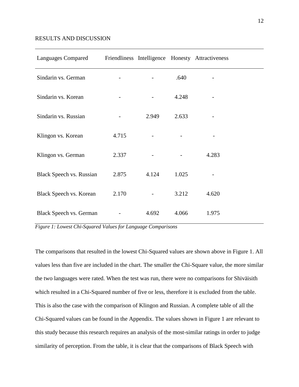#### RESULTS AND DISCUSSION

| <b>Languages Compared</b>       |       |       |       | Friendliness Intelligence Honesty Attractiveness |
|---------------------------------|-------|-------|-------|--------------------------------------------------|
| Sindarin vs. German             |       |       | .640  |                                                  |
| Sindarin vs. Korean             |       |       | 4.248 |                                                  |
| Sindarin vs. Russian            |       | 2.949 | 2.633 |                                                  |
| Klingon vs. Korean              | 4.715 |       |       |                                                  |
| Klingon vs. German              | 2.337 |       |       | 4.283                                            |
| <b>Black Speech vs. Russian</b> | 2.875 | 4.124 | 1.025 |                                                  |
| Black Speech vs. Korean         | 2.170 |       | 3.212 | 4.620                                            |
| Black Speech vs. German         |       | 4.692 | 4.066 | 1.975                                            |

*Figure 1: Lowest Chi-Squared Values for Language Comparisons*

The comparisons that resulted in the lowest Chi-Squared values are shown above in Figure 1. All values less than five are included in the chart. The smaller the Chi-Square value, the more similar the two languages were rated. When the test was run, there were no comparisons for Shiväisith which resulted in a Chi-Squared number of five or less, therefore it is excluded from the table. This is also the case with the comparison of Klingon and Russian. A complete table of all the Chi-Squared values can be found in the Appendix. The values shown in Figure 1 are relevant to this study because this research requires an analysis of the most-similar ratings in order to judge similarity of perception. From the table, it is clear that the comparisons of Black Speech with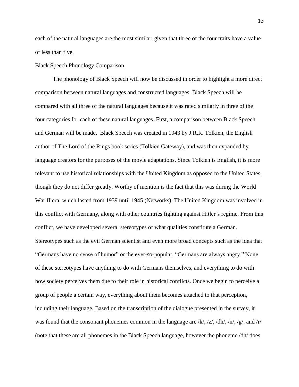each of the natural languages are the most similar, given that three of the four traits have a value of less than five.

#### Black Speech Phonology Comparison

The phonology of Black Speech will now be discussed in order to highlight a more direct comparison between natural languages and constructed languages. Black Speech will be compared with all three of the natural languages because it was rated similarly in three of the four categories for each of these natural languages. First, a comparison between Black Speech and German will be made. Black Speech was created in 1943 by J.R.R. Tolkien, the English author of The Lord of the Rings book series (Tolkien Gateway), and was then expanded by language creators for the purposes of the movie adaptations. Since Tolkien is English, it is more relevant to use historical relationships with the United Kingdom as opposed to the United States, though they do not differ greatly. Worthy of mention is the fact that this was during the World War II era, which lasted from 1939 until 1945 (Networks). The United Kingdom was involved in this conflict with Germany, along with other countries fighting against Hitler's regime. From this conflict, we have developed several stereotypes of what qualities constitute a German. Stereotypes such as the evil German scientist and even more broad concepts such as the idea that "Germans have no sense of humor" or the ever-so-popular, "Germans are always angry." None of these stereotypes have anything to do with Germans themselves, and everything to do with how society perceives them due to their role in historical conflicts. Once we begin to perceive a group of people a certain way, everything about them becomes attached to that perception, including their language. Based on the transcription of the dialogue presented in the survey, it was found that the consonant phonemes common in the language are  $/k/$ ,  $/z/$ ,  $/dh/$ ,  $/n/$ ,  $/g/$ , and  $/r/$ (note that these are all phonemes in the Black Speech language, however the phoneme /dh/ does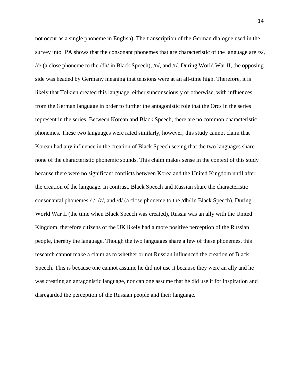not occur as a single phoneme in English). The transcription of the German dialogue used in the survey into IPA shows that the consonant phonemes that are characteristic of the language are  $\langle z \rangle$ , /d/ (a close phoneme to the /dh/ in Black Speech), /n/, and /r/. During World War II, the opposing side was headed by Germany meaning that tensions were at an all-time high. Therefore, it is likely that Tolkien created this language, either subconsciously or otherwise, with influences from the German language in order to further the antagonistic role that the Orcs in the series represent in the series. Between Korean and Black Speech, there are no common characteristic phonemes. These two languages were rated similarly, however; this study cannot claim that Korean had any influence in the creation of Black Speech seeing that the two languages share none of the characteristic phonemic sounds. This claim makes sense in the context of this study because there were no significant conflicts between Korea and the United Kingdom until after the creation of the language. In contrast, Black Speech and Russian share the characteristic consonantal phonemes /r/, /z/, and /d/ (a close phoneme to the /dh/ in Black Speech). During World War II (the time when Black Speech was created), Russia was an ally with the United Kingdom, therefore citizens of the UK likely had a more positive perception of the Russian people, thereby the language. Though the two languages share a few of these phonemes, this research cannot make a claim as to whether or not Russian influenced the creation of Black Speech. This is because one cannot assume he did not use it because they were an ally and he was creating an antagonistic language, nor can one assume that he did use it for inspiration and disregarded the perception of the Russian people and their language.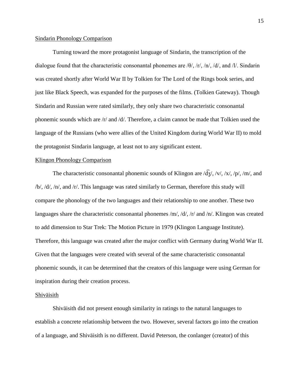#### Sindarin Phonology Comparison

Turning toward the more protagonist language of Sindarin, the transcription of the dialogue found that the characteristic consonantal phonemes are  $\theta$ ,  $\pi$ ,  $\pi$ ,  $\theta$ ,  $\pi$ ,  $\theta$ , and  $\pi$ . Sindarin was created shortly after World War II by Tolkien for The Lord of the Rings book series, and just like Black Speech, was expanded for the purposes of the films. (Tolkien Gateway). Though Sindarin and Russian were rated similarly, they only share two characteristic consonantal phonemic sounds which are /r/ and /d/. Therefore, a claim cannot be made that Tolkien used the language of the Russians (who were allies of the United Kingdom during World War II) to mold the protagonist Sindarin language, at least not to any significant extent.

#### Klingon Phonology Comparison

The characteristic consonantal phonemic sounds of Klingon are  $\sqrt{d_3}$ ,  $\sqrt{v}$ ,  $\sqrt{x}$ ,  $\sqrt{p}$ ,  $\sqrt{m}$ , and /b/, /d/, /n/, and /r/. This language was rated similarly to German, therefore this study will compare the phonology of the two languages and their relationship to one another. These two languages share the characteristic consonantal phonemes /m/, /d/, /r/ and /n/. Klingon was created to add dimension to Star Trek: The Motion Picture in 1979 (Klingon Language Institute). Therefore, this language was created after the major conflict with Germany during World War II. Given that the languages were created with several of the same characteristic consonantal phonemic sounds, it can be determined that the creators of this language were using German for inspiration during their creation process.

#### Shiväisith

Shiväisith did not present enough similarity in ratings to the natural languages to establish a concrete relationship between the two. However, several factors go into the creation of a language, and Shiväisith is no different. David Peterson, the conlanger (creator) of this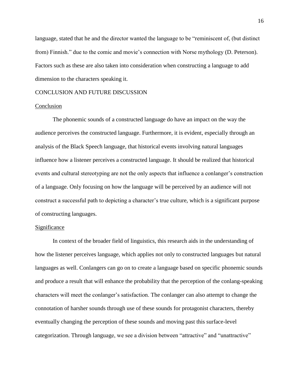language, stated that he and the director wanted the language to be "reminiscent of, (but distinct from) Finnish." due to the comic and movie's connection with Norse mythology (D. Peterson). Factors such as these are also taken into consideration when constructing a language to add dimension to the characters speaking it.

#### CONCLUSION AND FUTURE DISCUSSION

#### Conclusion

The phonemic sounds of a constructed language do have an impact on the way the audience perceives the constructed language. Furthermore, it is evident, especially through an analysis of the Black Speech language, that historical events involving natural languages influence how a listener perceives a constructed language. It should be realized that historical events and cultural stereotyping are not the only aspects that influence a conlanger's construction of a language. Only focusing on how the language will be perceived by an audience will not construct a successful path to depicting a character's true culture, which is a significant purpose of constructing languages.

#### **Significance**

In context of the broader field of linguistics, this research aids in the understanding of how the listener perceives language, which applies not only to constructed languages but natural languages as well. Conlangers can go on to create a language based on specific phonemic sounds and produce a result that will enhance the probability that the perception of the conlang-speaking characters will meet the conlanger's satisfaction. The conlanger can also attempt to change the connotation of harsher sounds through use of these sounds for protagonist characters, thereby eventually changing the perception of these sounds and moving past this surface-level categorization. Through language, we see a division between "attractive" and "unattractive"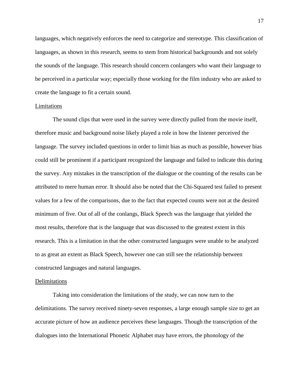languages, which negatively enforces the need to categorize and stereotype. This classification of languages, as shown in this research, seems to stem from historical backgrounds and not solely the sounds of the language. This research should concern conlangers who want their language to be perceived in a particular way; especially those working for the film industry who are asked to create the language to fit a certain sound.

#### Limitations

The sound clips that were used in the survey were directly pulled from the movie itself, therefore music and background noise likely played a role in how the listener perceived the language. The survey included questions in order to limit bias as much as possible, however bias could still be prominent if a participant recognized the language and failed to indicate this during the survey. Any mistakes in the transcription of the dialogue or the counting of the results can be attributed to mere human error. It should also be noted that the Chi-Squared test failed to present values for a few of the comparisons, due to the fact that expected counts were not at the desired minimum of five. Out of all of the conlangs, Black Speech was the language that yielded the most results, therefore that is the language that was discussed to the greatest extent in this research. This is a limitation in that the other constructed languages were unable to be analyzed to as great an extent as Black Speech, however one can still see the relationship between constructed languages and natural languages.

#### **Delimitations**

Taking into consideration the limitations of the study, we can now turn to the delimitations. The survey received ninety-seven responses, a large enough sample size to get an accurate picture of how an audience perceives these languages. Though the transcription of the dialogues into the International Phonetic Alphabet may have errors, the phonology of the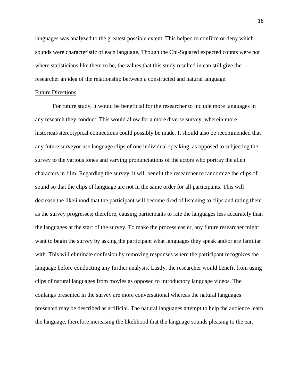languages was analyzed to the greatest possible extent. This helped to confirm or deny which sounds were characteristic of each language. Though the Chi-Squared expected counts were not where statisticians like them to be, the values that this study resulted in can still give the researcher an idea of the relationship between a constructed and natural language.

#### Future Directions

For future study, it would be beneficial for the researcher to include more languages in any research they conduct. This would allow for a more diverse survey; wherein more historical/stereotypical connections could possibly be made. It should also be recommended that any future surveyor use language clips of one individual speaking, as opposed to subjecting the survey to the various tones and varying pronunciations of the actors who portray the alien characters in film. Regarding the survey, it will benefit the researcher to randomize the clips of sound so that the clips of language are not in the same order for all participants. This will decrease the likelihood that the participant will become tired of listening to clips and rating them as the survey progresses; therefore, causing participants to rate the languages less accurately than the languages at the start of the survey. To make the process easier, any future researcher might want to begin the survey by asking the participant what languages they speak and/or are familiar with. This will eliminate confusion by removing responses where the participant recognizes the language before conducting any further analysis. Lastly, the researcher would benefit from using clips of natural languages from movies as opposed to introductory language videos. The conlangs presented in the survey are more conversational whereas the natural languages presented may be described as artificial. The natural languages attempt to help the audience learn the language, therefore increasing the likelihood that the language sounds pleasing to the ear.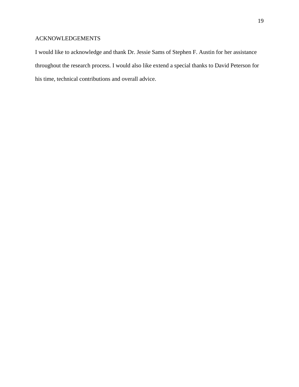### ACKNOWLEDGEMENTS

I would like to acknowledge and thank Dr. Jessie Sams of Stephen F. Austin for her assistance throughout the research process. I would also like extend a special thanks to David Peterson for his time, technical contributions and overall advice.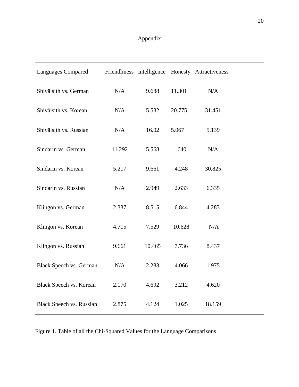# Appendix

| <b>Languages Compared</b>       |        |        |        | Friendliness Intelligence Honesty Attractiveness |  |
|---------------------------------|--------|--------|--------|--------------------------------------------------|--|
| Shiväisith vs. German           | N/A    | 9.688  | 11.301 | N/A                                              |  |
| Shiväisith vs. Korean           | N/A    | 5.532  | 20.775 | 31.451                                           |  |
| Shiväisith vs. Russian          | N/A    | 16.02  | 5.067  | 5.139                                            |  |
| Sindarin vs. German             | 11.292 | 5.568  | .640   | N/A                                              |  |
| Sindarin vs. Korean             | 5.217  | 9.661  | 4.248  | 30.825                                           |  |
| Sindarin vs. Russian            | N/A    | 2.949  | 2.633  | 6.335                                            |  |
| Klingon vs. German              | 2.337  | 8.515  | 6.844  | 4.283                                            |  |
| Klingon vs. Korean              | 4.715  | 7.529  | 10.628 | N/A                                              |  |
| Klingon vs. Russian             | 9.661  | 10.465 | 7.736  | 8.437                                            |  |
| <b>Black Speech vs. German</b>  | N/A    | 2.283  | 4.066  | 1.975                                            |  |
| <b>Black Speech vs. Korean</b>  | 2.170  | 4.692  | 3.212  | 4.620                                            |  |
| <b>Black Speech vs. Russian</b> | 2.875  | 4.124  | 1.025  | 18.159                                           |  |

Figure 1. Table of all the Chi-Squared Values for the Language Comparisons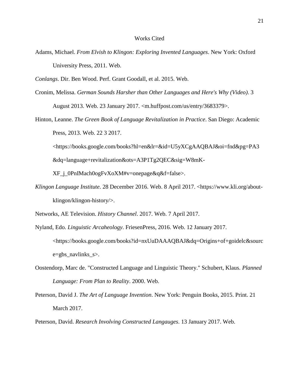#### Works Cited

- Adams, Michael. *From Elvish to Klingon: Exploring Invented Languages*. New York: Oxford University Press, 2011. Web.
- *Conlangs*. Dir. Ben Wood. Perf. Grant Goodall, et al. 2015. Web.
- Cronim, Melissa. *German Sounds Harsher than Other Languages and Here's Why (Video)*. 3 August 2013. Web. 23 January 2017. <m.huffpost.com/us/entry/3683379>.
- Hinton, Leanne. *The Green Book of Language Revitalization in Practice*. San Diego: Academic Press, 2013. Web. 22 3 2017.

<https://books.google.com/books?hl=en&lr=&id=U5yXCgAAQBAJ&oi=fnd&pg=PA3

&dq=language+revitalization&ots=A3P1Tg2QEC&sig=W8mK-

XF\_j\_0PnIMach0ogFvXoXM#v=onepage&q&f=false>.

*Klingon Language Institute*. 28 December 2016. Web. 8 April 2017. <https://www.kli.org/aboutklingon/klingon-history/>.

- Nyland, Edo. *Linguistic Arcaheology*. FriesenPress, 2016. Web. 12 January 2017. <https://books.google.com/books?id=nxUuDAAAQBAJ&dq=Origins+of+goidelc&sourc e=gbs\_navlinks\_s>.
- Oostendorp, Marc de. "Constructed Language and Linguistic Theory." Schubert, Klaus. *Planned Language: From Plan to Reality*. 2000. Web.
- Peterson, David J. *The Art of Language Invention*. New York: Penguin Books, 2015. Print. 21 March 2017.

Peterson, David. *Research Involving Constructed Langauges*. 13 January 2017. Web.

Networks, AE Television. *History Channel*. 2017. Web. 7 April 2017.